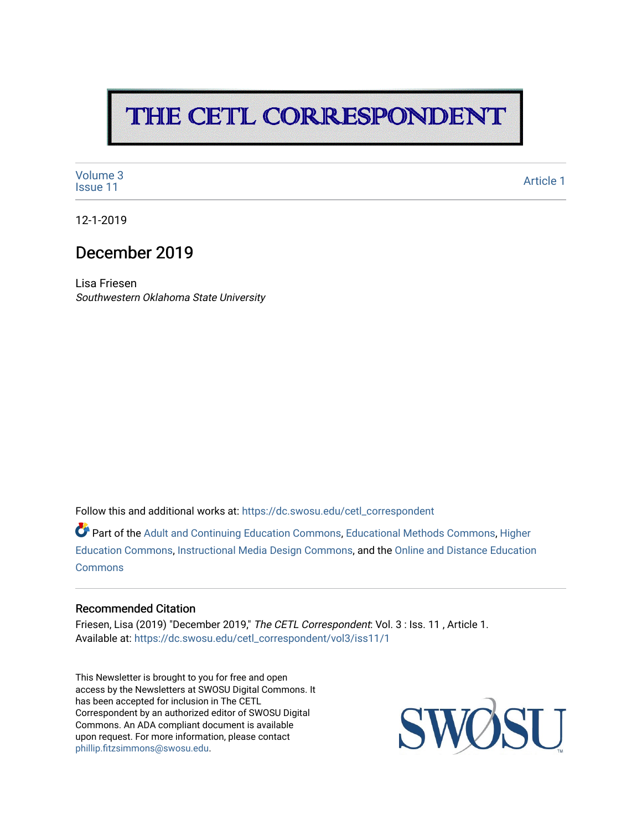# THE CETL CORRESPONDENT

[Volume 3](https://dc.swosu.edu/cetl_correspondent/vol3)<br>Issue 11 volume 3<br>[Issue 11](https://dc.swosu.edu/cetl_correspondent/vol3/iss11) Article 1

12-1-2019

### December 2019

Lisa Friesen Southwestern Oklahoma State University

Follow this and additional works at: [https://dc.swosu.edu/cetl\\_correspondent](https://dc.swosu.edu/cetl_correspondent?utm_source=dc.swosu.edu%2Fcetl_correspondent%2Fvol3%2Fiss11%2F1&utm_medium=PDF&utm_campaign=PDFCoverPages)

Part of the [Adult and Continuing Education Commons,](http://network.bepress.com/hgg/discipline/1375?utm_source=dc.swosu.edu%2Fcetl_correspondent%2Fvol3%2Fiss11%2F1&utm_medium=PDF&utm_campaign=PDFCoverPages) [Educational Methods Commons,](http://network.bepress.com/hgg/discipline/1227?utm_source=dc.swosu.edu%2Fcetl_correspondent%2Fvol3%2Fiss11%2F1&utm_medium=PDF&utm_campaign=PDFCoverPages) [Higher](http://network.bepress.com/hgg/discipline/1245?utm_source=dc.swosu.edu%2Fcetl_correspondent%2Fvol3%2Fiss11%2F1&utm_medium=PDF&utm_campaign=PDFCoverPages) [Education Commons,](http://network.bepress.com/hgg/discipline/1245?utm_source=dc.swosu.edu%2Fcetl_correspondent%2Fvol3%2Fiss11%2F1&utm_medium=PDF&utm_campaign=PDFCoverPages) [Instructional Media Design Commons,](http://network.bepress.com/hgg/discipline/795?utm_source=dc.swosu.edu%2Fcetl_correspondent%2Fvol3%2Fiss11%2F1&utm_medium=PDF&utm_campaign=PDFCoverPages) and the [Online and Distance Education](http://network.bepress.com/hgg/discipline/1296?utm_source=dc.swosu.edu%2Fcetl_correspondent%2Fvol3%2Fiss11%2F1&utm_medium=PDF&utm_campaign=PDFCoverPages)  **[Commons](http://network.bepress.com/hgg/discipline/1296?utm_source=dc.swosu.edu%2Fcetl_correspondent%2Fvol3%2Fiss11%2F1&utm_medium=PDF&utm_campaign=PDFCoverPages)** 

#### Recommended Citation

Friesen, Lisa (2019) "December 2019," The CETL Correspondent: Vol. 3 : Iss. 11 , Article 1. Available at: [https://dc.swosu.edu/cetl\\_correspondent/vol3/iss11/1](https://dc.swosu.edu/cetl_correspondent/vol3/iss11/1?utm_source=dc.swosu.edu%2Fcetl_correspondent%2Fvol3%2Fiss11%2F1&utm_medium=PDF&utm_campaign=PDFCoverPages)

This Newsletter is brought to you for free and open access by the Newsletters at SWOSU Digital Commons. It has been accepted for inclusion in The CETL Correspondent by an authorized editor of SWOSU Digital Commons. An ADA compliant document is available upon request. For more information, please contact [phillip.fitzsimmons@swosu.edu](mailto:phillip.fitzsimmons@swosu.edu).

SWO **STT**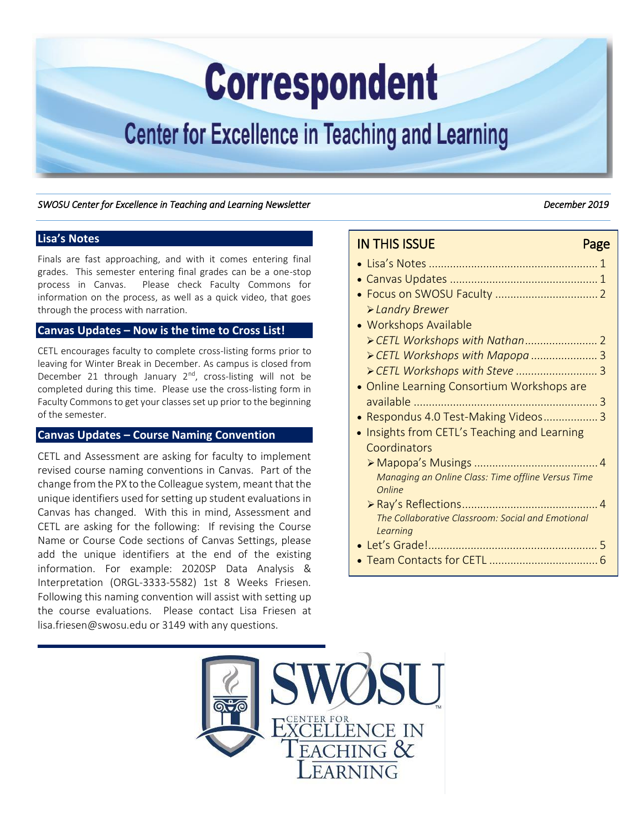# **Correspondent**

# <span id="page-1-0"></span>**Center for Excellence in Teaching and Learning**

#### SWOSU Center for Excellence in Teaching and Learning Newsletter **December 2019 December 2019**

#### **Lisa's Notes**

Finals are fast approaching, and with it comes entering final grades. This semester entering final grades can be a one-stop process in Canvas. Please check Faculty Commons for information on the process, as well as a quick video, that goes through the process with narration.

#### **Canvas Updates – Now is the time to Cross List!**

CETL encourages faculty to complete cross-listing forms prior to leaving for Winter Break in December. As campus is closed from December 21 through January  $2^{nd}$ , cross-listing will not be completed during this time. Please use the cross-listing form in Faculty Commons to get your classes set up prior to the beginning of the semester.

#### **Canvas Updates – Course Naming Convention**

CETL and Assessment are asking for faculty to implement revised course naming conventions in Canvas. Part of the change from the PX to the Colleague system, meant that the unique identifiers used for setting up student evaluations in Canvas has changed. With this in mind, Assessment and CETL are asking for the following: If revising the Course Name or Course Code sections of Canvas Settings, please add the unique identifiers at the end of the existing information. For example: 2020SP Data Analysis & Interpretation (ORGL-3333-5582) 1st 8 Weeks Friesen*.* Following this naming convention will assist with setting up the course evaluations. Please contact Lisa Friesen at lisa.friesen@swosu.edu or 3149 with any questions.

#### IN THIS ISSUE **Page**

- Lisa's Notes[........................................................ 1](#page-1-0)
- [Canvas Updates ................................................. 1](#page-1-0)  [Focus on SWOSU Faculty .................................. 2](#page-2-0)
- *Landry Brewer*
- Workshops Available *[CETL Workshops with Nathan ........................](#page-2-0)* 2 *[CETL Workshops with Mapopa ......................](#page-3-0)* 3
	- *[CETL Workshops with Steve ...........................](#page-3-0)* 3
- Online Learning Consortium Workshops are [available ............................................................. 3](#page-3-0)
- [Respondus 4.0 Test-Making Videos .................. 3](#page-3-0)
- Insights from CETL's Teaching and Learning **Coordinators** 
	- Mapopa's Musings [......................................... 4](#page-4-0)  *Managing an Online Class: Time offline Versus Time Online*
	- Ray's [Reflections............................................. 4](#page-4-0)  *The Collaborative Classroom: Social and Emotional Learning*
- Let's Grade!*[........................................................](#page-5-0)* 5
- [Team Contacts for CETL .................................... 6](#page-6-0)

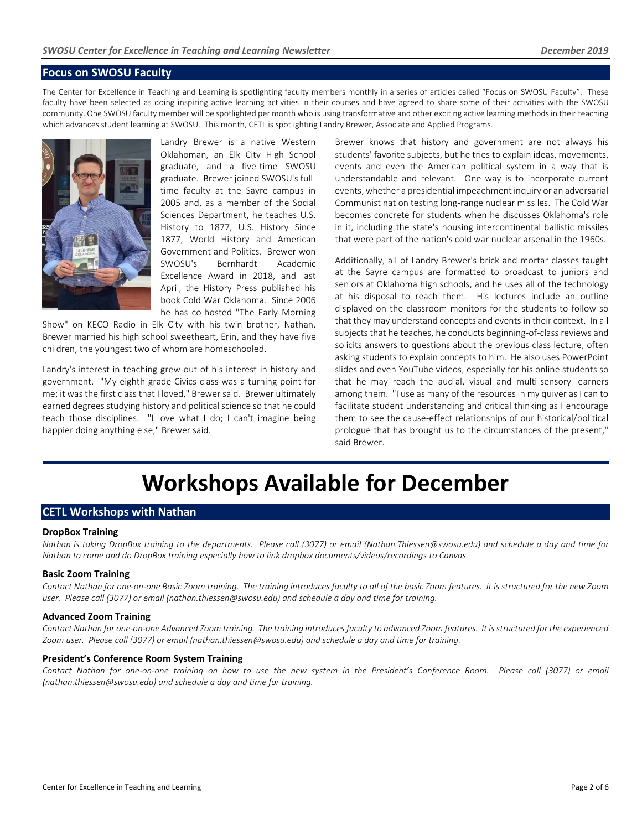#### <span id="page-2-0"></span>**Focus on SWOSU Faculty**

The Center for Excellence in Teaching and Learning is spotlighting faculty members monthly in a series of articles called "Focus on SWOSU Faculty". These faculty have been selected as doing inspiring active learning activities in their courses and have agreed to share some of their activities with the SWOSU community. One SWOSU faculty member will be spotlighted per month who is using transformative and other exciting active learning methods in their teaching which advances student learning at SWOSU. This month, CETL is spotlighting Landry Brewer, Associate and Applied Programs.



Landry Brewer is a native Western Oklahoman, an Elk City High School graduate, and a five-time SWOSU graduate. Brewer joined SWOSU's fulltime faculty at the Sayre campus in 2005 and, as a member of the Social Sciences Department, he teaches U.S. History to 1877, U.S. History Since 1877, World History and American Government and Politics. Brewer won SWOSU's Bernhardt Academic Excellence Award in 2018, and last April, the History Press published his book Cold War Oklahoma. Since 2006 he has co-hosted "The Early Morning

Show" on KECO Radio in Elk City with his twin brother, Nathan. Brewer married his high school sweetheart, Erin, and they have five children, the youngest two of whom are homeschooled.

Landry's interest in teaching grew out of his interest in history and government. "My eighth-grade Civics class was a turning point for me; it was the first class that I loved," Brewer said. Brewer ultimately earned degrees studying history and political science so that he could teach those disciplines. "I love what I do; I can't imagine being happier doing anything else," Brewer said.

Brewer knows that history and government are not always his students' favorite subjects, but he tries to explain ideas, movements, events and even the American political system in a way that is understandable and relevant. One way is to incorporate current events, whether a presidential impeachment inquiry or an adversarial Communist nation testing long-range nuclear missiles. The Cold War becomes concrete for students when he discusses Oklahoma's role in it, including the state's housing intercontinental ballistic missiles that were part of the nation's cold war nuclear arsenal in the 1960s.

Additionally, all of Landry Brewer's brick-and-mortar classes taught at the Sayre campus are formatted to broadcast to juniors and seniors at Oklahoma high schools, and he uses all of the technology at his disposal to reach them. His lectures include an outline displayed on the classroom monitors for the students to follow so that they may understand concepts and events in their context. In all subjects that he teaches, he conducts beginning-of-class reviews and solicits answers to questions about the previous class lecture, often asking students to explain concepts to him. He also uses PowerPoint slides and even YouTube videos, especially for his online students so that he may reach the audial, visual and multi-sensory learners among them. "I use as many of the resources in my quiver as I can to facilitate student understanding and critical thinking as I encourage them to see the cause-effect relationships of our historical/political prologue that has brought us to the circumstances of the present," said Brewer.

## **Workshops Available for December**

#### **CETL Workshops with Nathan**

#### **DropBox Training**

*Nathan is taking DropBox training to the departments. Please call (3077) or email (Nathan.Thiessen@swosu.edu) and schedule a day and time for Nathan to come and do DropBox training especially how to link dropbox documents/videos/recordings to Canvas.* 

#### **Basic Zoom Training**

Contact Nathan for one-on-one Basic Zoom training. The training introduces faculty to all of the basic Zoom features. It is structured for the new Zoom *user. Please call (3077) or email (nathan.thiessen@swosu.edu) and schedule a day and time for training.* 

#### **Advanced Zoom Training**

Contact Nathan for one-on-one Advanced Zoom training. The training introduces faculty to advanced Zoom features. It is structured for the experienced *Zoom user. Please call (3077) or email (nathan.thiessen@swosu.edu) and schedule a day and time for training.* 

#### **President's Conference Room System Training**

*Contact Nathan for one-on-one training on how to use the new system in the President's Conference Room. Please call (3077) or email (nathan.thiessen@swosu.edu) and schedule a day and time for training.*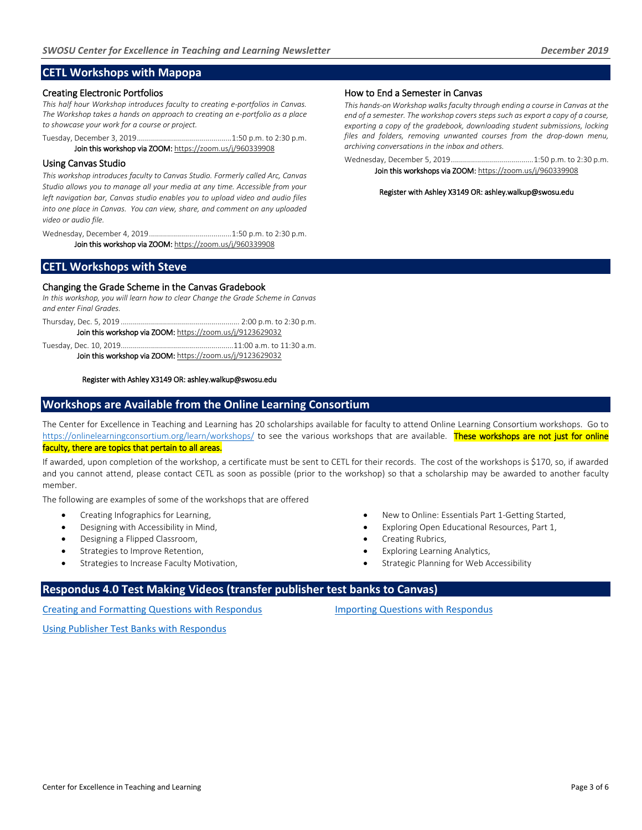#### <span id="page-3-0"></span>**CETL Workshops with Mapopa**

#### Creating Electronic Portfolios

*This half hour Workshop introduces faculty to creating e-portfolios in Canvas. The Workshop takes a hands on approach to creating an e-portfolio as a place to showcase your work for a course or project.* 

Tuesday, December 3, 2019 ............................................... 1:50 p.m. to 2:30 p.m. Join this workshop via ZOOM[: https://zoom.us/j/960339908](https://zoom.us/j/960339908)

#### Using Canvas Studio

*This workshop introduces faculty to Canvas Studio. Formerly called Arc, Canvas Studio allows you to manage all your media at any time. Accessible from your left navigation bar, Canvas studio enables you to upload video and audio files into one place in Canvas. You can view, share, and comment on any uploaded video or audio file.* 

Wednesday, December 4, 2019 ......................................... 1:50 p.m. to 2:30 p.m. Join this workshop via ZOOM[: https://zoom.us/j/960339908](https://zoom.us/j/960339908)

### How to End a Semester in Canvas

*This hands-on Workshop walks faculty through ending a course in Canvas at the end of a semester. The workshop covers steps such as export a copy of a course, exporting a copy of the gradebook, downloading student submissions, locking files and folders, removing unwanted courses from the drop-down menu, archiving conversations in the inbox and others.* 

Wednesday, December 5, 2019 ......................................... 1:50 p.m. to 2:30 p.m. Join this workshops via ZOOM[: https://zoom.us/j/960339908](https://zoom.us/j/960339908)

Register with Ashley X3149 OR: ashley.walkup@swosu.edu

#### **CETL Workshops with Steve**

#### Changing the Grade Scheme in the Canvas Gradebook

*In this workshop, you will learn how to clear Change the Grade Scheme in Canvas and enter Final Grades.* 

Thursday, Dec. 5, 2019 ........................................................... 2:00 p.m. to 2:30 p.m. Join this workshop via ZOOM[: https://zoom.us/j/9123629032](https://zoom.us/j/9123629032)

Tuesday, Dec. 10, 2019 ........................................................11:00 a.m. to 11:30 a.m. Join this workshop via ZOOM[: https://zoom.us/j/9123629032](https://zoom.us/j/9123629032)

#### Register with Ashley X3149 OR[: ashley.walkup@swosu.edu](mailto:ashley.walkup@swosu.edu)

#### **Workshops are Available from the Online Learning Consortium**

The Center for Excellence in Teaching and Learning has 20 scholarships available for faculty to attend Online Learning Consortium workshops. Go to <https://onlinelearningconsortium.org/learn/workshops/> to see the various workshops that are available. These workshops are not just for online faculty, there are topics that pertain to all areas.

If awarded, upon completion of the workshop, a certificate must be sent to CETL for their records. The cost of the workshops is \$170, so, if awarded and you cannot attend, please contact CETL as soon as possible (prior to the workshop) so that a scholarship may be awarded to another faculty member.

The following are examples of some of the workshops that are offered

- Creating Infographics for Learning,
- Designing with Accessibility in Mind,
- Designing a Flipped Classroom,
- Strategies to Improve Retention,
- Strategies to Increase Faculty Motivation,
- New to Online: Essentials Part 1-Getting Started,
- Exploring Open Educational Resources, Part 1,
- Creating Rubrics,
- Exploring Learning Analytics,
- Strategic Planning for Web Accessibility

#### **Respondus 4.0 Test Making Videos (transfer publisher test banks to Canvas)**

[Creating and Formatting Questions with Respondus](https://www.youtube.com/watch?v=Avjt3R8r62k&feature=youtu.be)

Importing Questions with Respondus

[Using Publisher Test Banks with Respondus](https://www.youtube.com/watch?v=rQFrteHRvRg)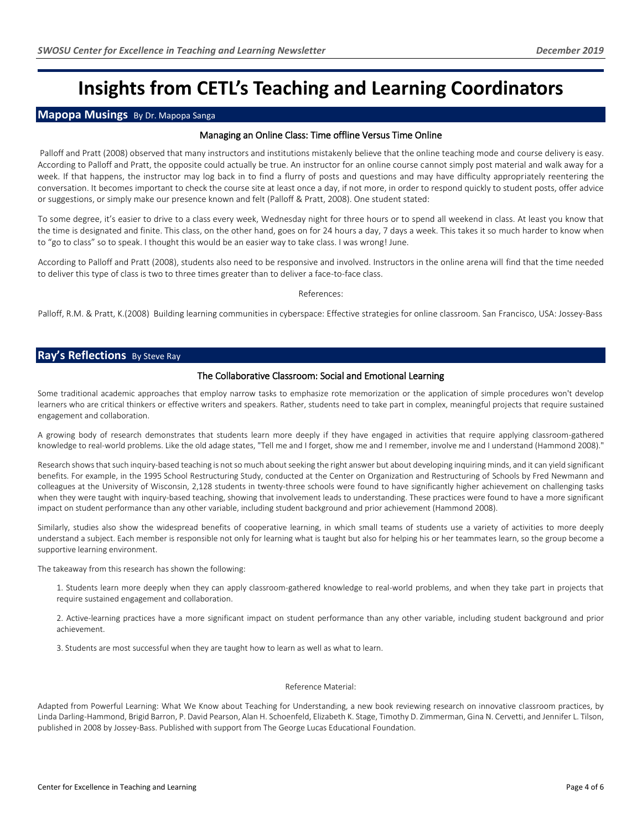### <span id="page-4-0"></span>**Insights from CETL's Teaching and Learning Coordinators**

#### **Mapopa Musings** By Dr. Mapopa Sanga

#### Managing an Online Class: Time offline Versus Time Online

 Palloff and Pratt (2008) observed that many instructors and institutions mistakenly believe that the online teaching mode and course delivery is easy. According to Palloff and Pratt, the opposite could actually be true. An instructor for an online course cannot simply post material and walk away for a week. If that happens, the instructor may log back in to find a flurry of posts and questions and may have difficulty appropriately reentering the conversation. It becomes important to check the course site at least once a day, if not more, in order to respond quickly to student posts, offer advice or suggestions, or simply make our presence known and felt (Palloff & Pratt, 2008). One student stated:

To some degree, it's easier to drive to a class every week, Wednesday night for three hours or to spend all weekend in class. At least you know that the time is designated and finite. This class, on the other hand, goes on for 24 hours a day, 7 days a week. This takes it so much harder to know when to "go to class" so to speak. I thought this would be an easier way to take class. I was wrong! June.

According to Palloff and Pratt (2008), students also need to be responsive and involved. Instructors in the online arena will find that the time needed to deliver this type of class is two to three times greater than to deliver a face-to-face class.

#### References:

Palloff, R.M. & Pratt, K.(2008) Building learning communities in cyberspace: Effective strategies for online classroom. San Francisco, USA: Jossey-Bass

#### **Ray's Reflections** By Steve Ray

#### The Collaborative Classroom: Social and Emotional Learning

Some traditional academic approaches that employ narrow tasks to emphasize rote memorization or the application of simple procedures won't develop learners who are critical thinkers or effective writers and speakers. Rather, students need to take part in complex, meaningful projects that require sustained engagement and collaboration.

A growing body of research demonstrates that students learn more deeply if they have engaged in activities that require applying classroom-gathered knowledge to real-world problems. Like the old adage states, "Tell me and I forget, show me and I remember, involve me and I understand (Hammond 2008)."

Research shows that such inquiry-based teaching is not so much about seeking the right answer but about developing inquiring minds, and it can yield significant benefits. For example, in the 1995 School Restructuring Study, conducted at the Center on Organization and Restructuring of Schools by Fred Newmann and colleagues at the University of Wisconsin, 2,128 students in twenty-three schools were found to have significantly higher achievement on challenging tasks when they were taught with inquiry-based teaching, showing that involvement leads to understanding. These practices were found to have a more significant impact on student performance than any other variable, including student background and prior achievement (Hammond 2008).

Similarly, studies also show the widespread benefits of cooperative learning, in which small teams of students use a variety of activities to more deeply understand a subject. Each member is responsible not only for learning what is taught but also for helping his or her teammates learn, so the group become a supportive learning environment.

The takeaway from this research has shown the following:

1. Students learn more deeply when they can apply classroom-gathered knowledge to real-world problems, and when they take part in projects that require sustained engagement and collaboration.

2. Active-learning practices have a more significant impact on student performance than any other variable, including student background and prior achievement.

3. Students are most successful when they are taught how to learn as well as what to learn.

#### Reference Material:

Adapted from Powerful Learning: What We Know about Teaching for Understanding, a new book reviewing research on innovative classroom practices, by Linda Darling-Hammond, Brigid Barron, P. David Pearson, Alan H. Schoenfeld, Elizabeth K. Stage, Timothy D. Zimmerman, Gina N. Cervetti, and Jennifer L. Tilson, published in 2008 by Jossey-Bass. Published with support from The George Lucas Educational Foundation.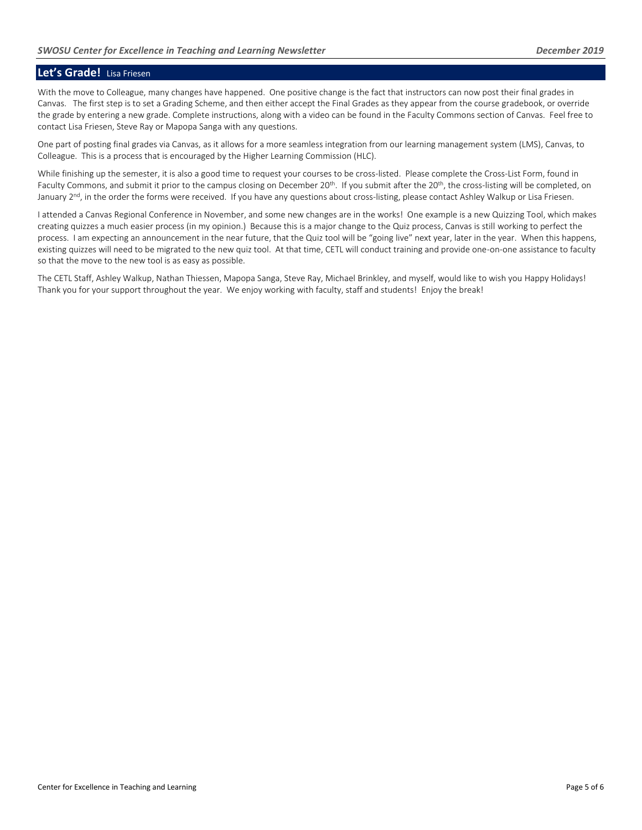#### <span id="page-5-0"></span>**Let's Grade!** Lisa Friesen

With the move to Colleague, many changes have happened. One positive change is the fact that instructors can now post their final grades in Canvas. The first step is to set a Grading Scheme, and then either accept the Final Grades as they appear from the course gradebook, or override the grade by entering a new grade. Complete instructions, along with a video can be found in the Faculty Commons section of Canvas. Feel free to contact Lisa Friesen, Steve Ray or Mapopa Sanga with any questions.

One part of posting final grades via Canvas, as it allows for a more seamless integration from our learning management system (LMS), Canvas, to Colleague. This is a process that is encouraged by the Higher Learning Commission (HLC).

While finishing up the semester, it is also a good time to request your courses to be cross-listed. Please complete the Cross-List Form, found in Faculty Commons, and submit it prior to the campus closing on December 20<sup>th</sup>. If you submit after the 20<sup>th</sup>, the cross-listing will be completed, on January 2<sup>nd</sup>, in the order the forms were received. If you have any questions about cross-listing, please contact Ashley Walkup or Lisa Friesen.

I attended a Canvas Regional Conference in November, and some new changes are in the works! One example is a new Quizzing Tool, which makes creating quizzes a much easier process (in my opinion.) Because this is a major change to the Quiz process, Canvas is still working to perfect the process. I am expecting an announcement in the near future, that the Quiz tool will be "going live" next year, later in the year. When this happens, existing quizzes will need to be migrated to the new quiz tool. At that time, CETL will conduct training and provide one-on-one assistance to faculty so that the move to the new tool is as easy as possible.

The CETL Staff, Ashley Walkup, Nathan Thiessen, Mapopa Sanga, Steve Ray, Michael Brinkley, and myself, would like to wish you Happy Holidays! Thank you for your support throughout the year. We enjoy working with faculty, staff and students! Enjoy the break!